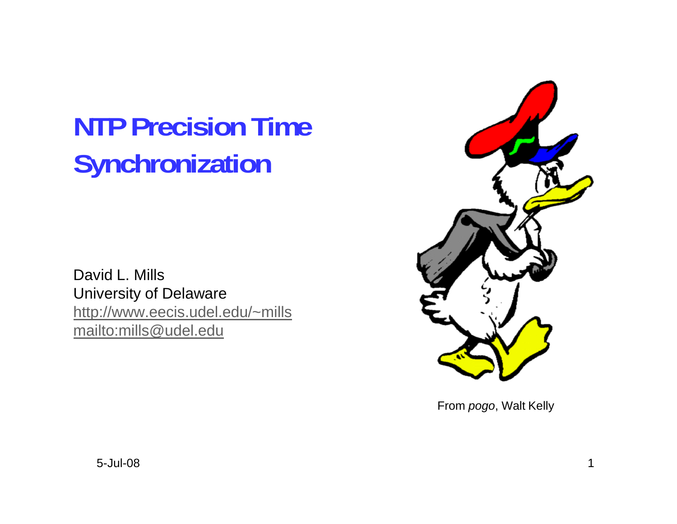# **NTP Precision Time Synchronization**

David L. Mills University of Delaware http://www.eecis.udel.edu/~mills mailto:mills@udel.edu



From *pogo*, Walt Kelly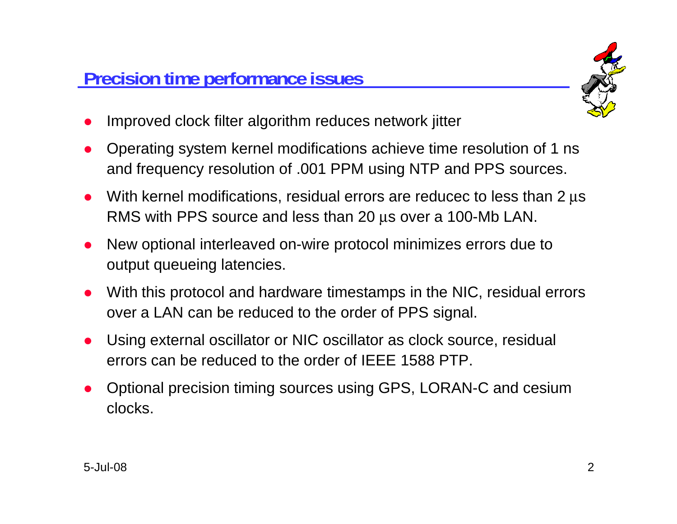

- $\bullet$ Improved clock filter algorithm reduces network jitter
- $\bullet$  Operating system kernel modifications achieve time resolution of 1 ns and frequency resolution of .001 PPM using NTP and PPS sources.
- $\bullet$ • With kernel modifications, residual errors are reducec to less than 2 μs RMS with PPS source and less than 20 μs over a 100-Mb LAN.
- $\bullet$  New optional interleaved on-wire protocol minimizes errors due to output queueing latencies.
- $\bullet$  With this protocol and hardware timestamps in the NIC, residual errors over a LAN can be reduced to the order of PPS signal.
- $\bullet$  Using external oscillator or NIC oscillator as clock source, residual errors can be reduced to the order of IEEE 1588 PTP.
- $\bullet$  Optional precision timing sources using GPS, LORAN-C and cesium clocks.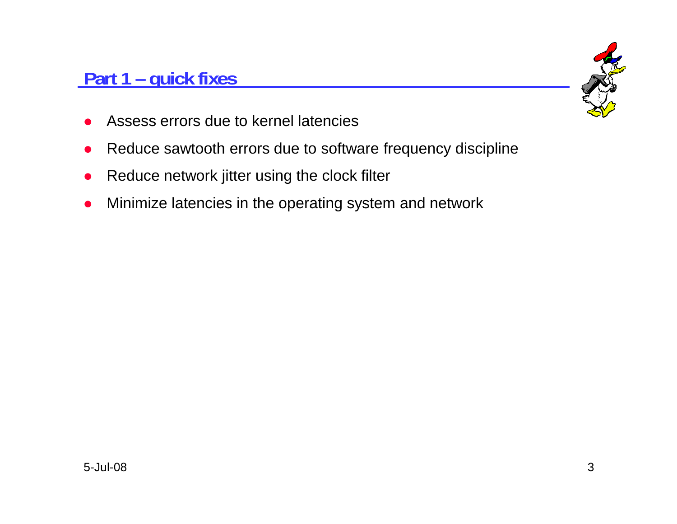## **Part 1 – quick fixes**



- $\bullet$ Assess errors due to kernel latencies
- $\bullet$ Reduce sawtooth errors due to software frequency discipline
- $\bullet$ Reduce network jitter using the clock filter
- $\bullet$ Minimize latencies in the operating system and network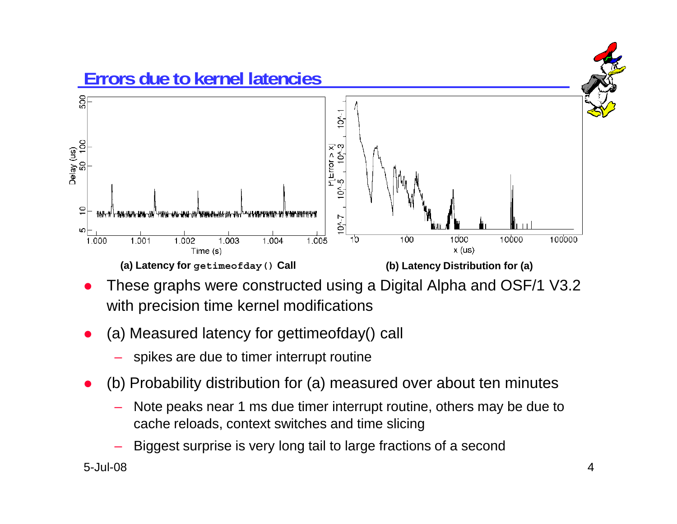

- $\bullet$  These graphs were constructed using a Digital Alpha and OSF/1 V3.2 with precision time kernel modifications
- $\bullet$  (a) Measured latency for gettimeofday() call
	- spikes are due to timer interrupt routine
- $\bullet$  (b) Probability distribution for (a) measured over about ten minutes
	- Note peaks near 1 ms due timer interrupt routine, others may be due to cache reloads, context switches and time slicing
	- Biggest surprise is very long tail to large fractions of a second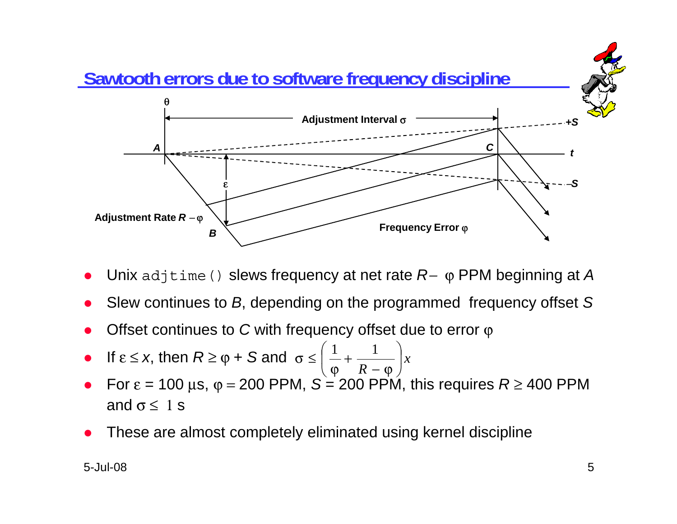

- $\bullet$ Unix adjtime() slews frequency at net rate *R*<sup>−</sup> ϕ PPM beginning at *A*
- $\bullet$ Slew continues to *B*, depending on the programmed frequency offset *S*
- $\bullet$ Offset continues to *C* with frequency offset due to error φ
- $\bullet$ **If**  $\epsilon \leq x$ , then  $R \geq \varphi + S$  and  $\sigma \leq \left(\frac{1}{\varphi} + \frac{1}{R - \varphi}\right)x$
- $\bullet$ For  $\varepsilon$  = 100  $\mu$ s,  $\varphi$  = 200 PPM,  $S = 200$  PPM, this requires  $R \ge 400$  PPM and  $\sigma \leq 1$  s
- $\bullet$ These are almost completely eliminated using kernel discipline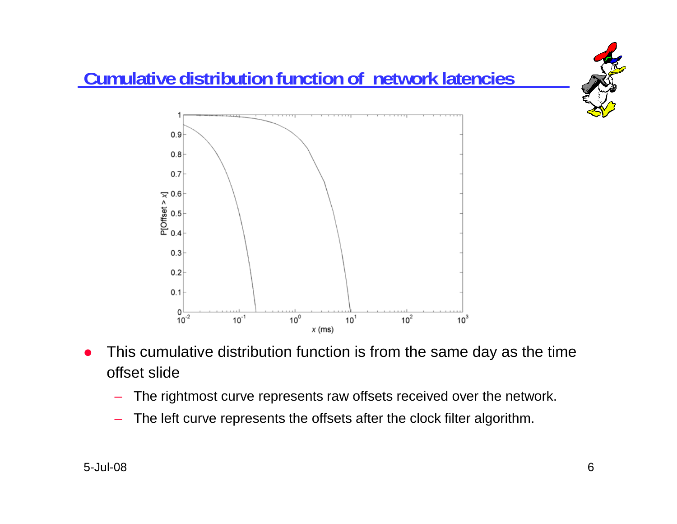

- $\bullet$  This cumulative distribution function is from the same day as the time offset slide
	- The rightmost curve represents raw offsets received over the network.
	- The left curve represents the offsets after the clock filter algorithm.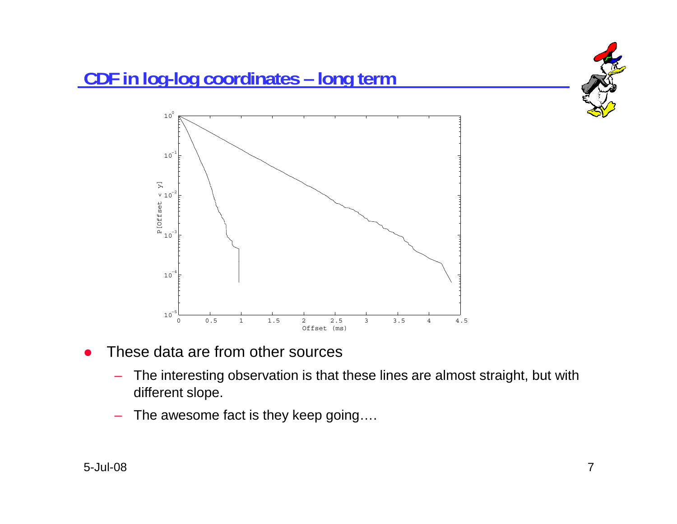

- $\bullet$  These data are from other sources
	- – The interesting observation is that these lines are almost straight, but with different slope.
	- –The awesome fact is they keep going….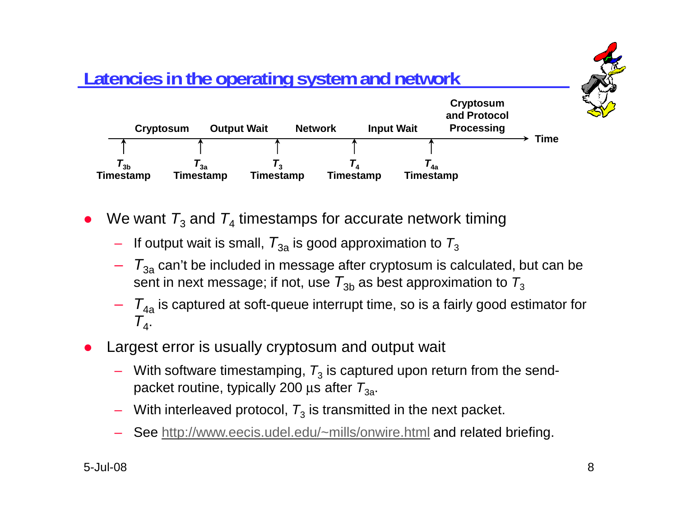

- $\bullet$ • We want  $T_3$  and  $T_4$  timestamps for accurate network timing
	- $\,$  If output wait is small,  $\, T_{\rm 3a}$  is good approximation to  $\, T_{\rm 3}$
	- $\,$   $T_{\rm 3a}$  can't be included in message after cryptosum is calculated, but can be sent in next message; if not, use  $\mathcal{T}_{\rm 3b}$  as best approximation to  $\mathcal{T}_{\rm 3}$
	- $-\quad$   $\mathcal{T}_{4\mathsf{a}}$  is captured at soft-queue interrupt time, so is a fairly good estimator for  $T_{4}$ .
- $\bullet$  Largest error is usually cryptosum and output wait
	- $-$  With software timestamping,  $\mathcal{T}_3$  is captured upon return from the sendpacket routine, typically 200 μs after *T*<sub>3a</sub>.
	- $-$  With interleaved protocol,  $\mathcal{T}_3$  is transmitted in the next packet.
	- See http://www.eecis.udel.edu/~mills/onwire.html and related briefing.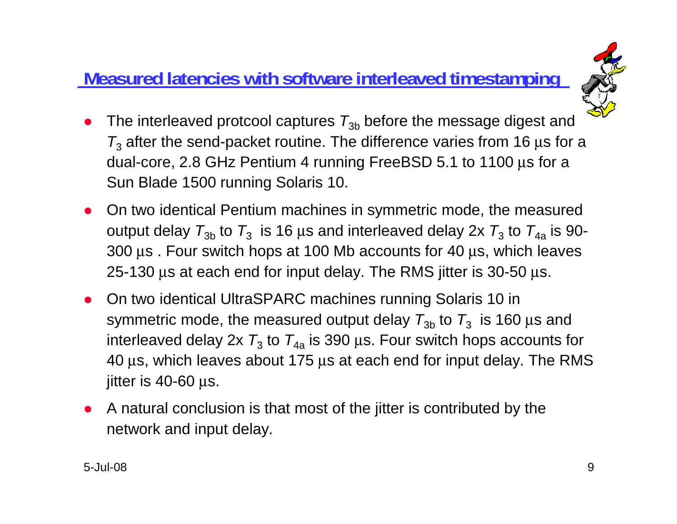## **Measured latencies with software interleaved timestamping**



- $\bullet$ • The interleaved protcool captures  $T_{3b}$  before the message digest and  $\mathcal{T}_3$  after the send-packet routine. The difference varies from 16  $\mu$ s for a dual-core, 2.8 GHz Pentium 4 running FreeBSD 5.1 to 1100 μs for a Sun Blade 1500 running Solaris 10.
- $\bullet$  On two identical Pentium machines in symmetric mode, the measured output delay  $\,_{3\mathrm{b}}$  to  $\,_{3}$  is 16  $\mu$ s and interleaved delay 2x  $\,_{3}$  to  $\,_{4\mathrm{a}}$  is 90-300 μs . Four switch hops at 100 Mb accounts for 40 μs, which leaves 25-130 μs at each end for input delay. The RMS jitter is 30-50 μs.
- $\bullet$  On two identical UltraSPARC machines running Solaris 10 in symmetric mode, the measured output delay  $\,_{3\mathrm{b}}$  to  $\,_{3}$  is 160  $\mu$ s and interleaved delay 2x  $\,_{3}$  to  $\,_{4a}$  is 390  $\mu$ s. Four switch hops accounts for 40 μs, which leaves about 175 μs at each end for input delay. The RMS  $\,$ jitter is 40-60 μs.
- $\bullet$  A natural conclusion is that most of the jitter is contributed by the network and input delay.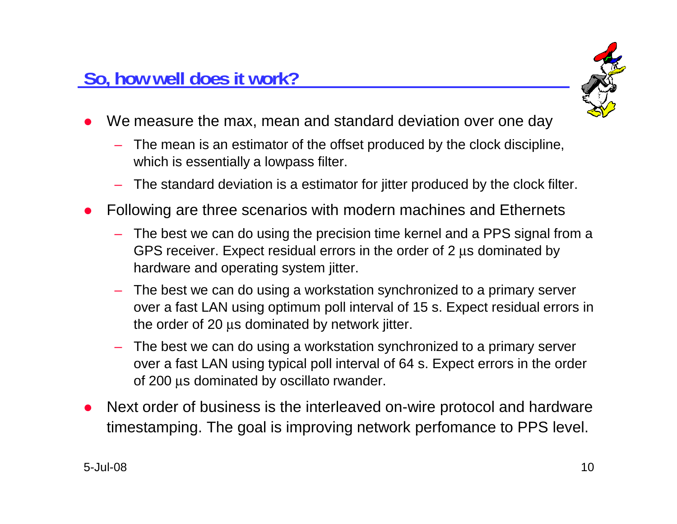

- $\bullet$  We measure the max, mean and standard deviation over one day
	- The mean is an estimator of the offset produced by the clock discipline, which is essentially a lowpass filter.
	- The standard deviation is a estimator for jitter produced by the clock filter.
- $\bullet$  Following are three scenarios with modern machines and Ethernets
	- The best we can do using the precision time kernel and a PPS signal from a GPS receiver. Expect residual errors in the order of 2 μs dominated by hardware and operating system jitter.
	- The best we can do using a workstation synchronized to a primary server over a fast LAN using optimum poll interval of 15 s. Expect residual errors in the order of 20 μs dominated by network jitter.
	- The best we can do using a workstation synchronized to a primary server over a fast LAN using typical poll interval of 64 s. Expect errors in the order of 200 μs dominated by oscillato rwander.
- $\bullet$  Next order of business is the interleaved on-wire protocol and hardware timestamping. The goal is improving network perfomance to PPS level.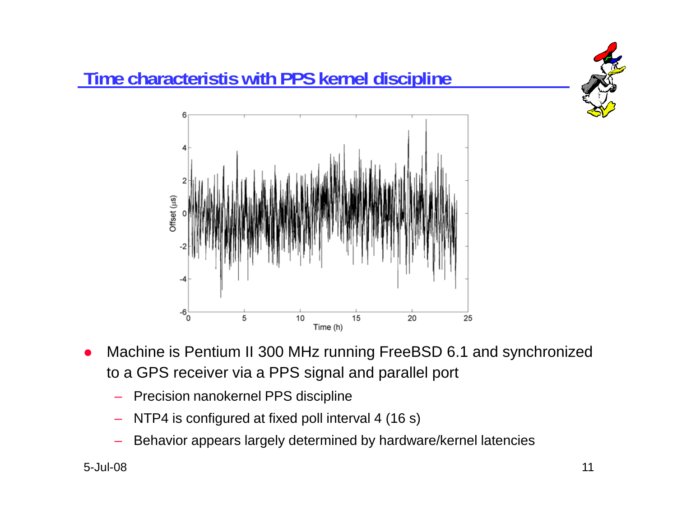

# **Time characteristis with PPS kernel discipline**



- $\bullet$  Machine is Pentium II 300 MHz running FreeBSD 6.1 and synchronized to a GPS receiver via a PPS signal and parallel port
	- Precision nanokernel PPS discipline
	- NTP4 is configured at fixed poll interval 4 (16 s)
	- Behavior appears largely determined by hardware/kernel latencies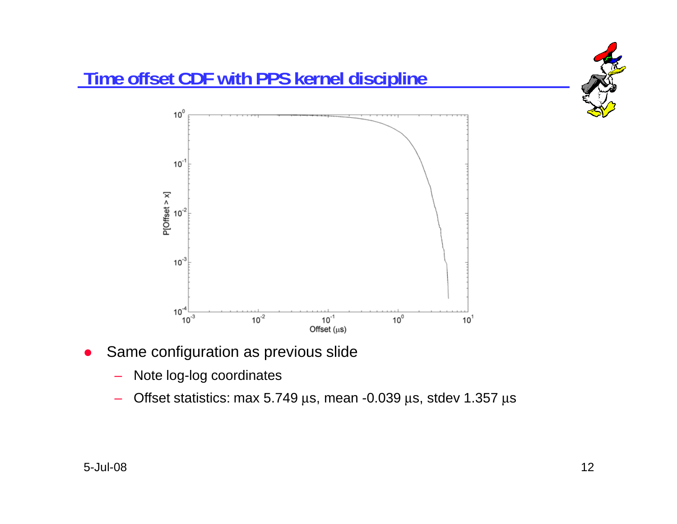

- $\bullet$  Same configuration as previous slide
	- –Note log-log coordinates
	- – $-$  Offset statistics: max 5.749 μs, mean -0.039 μs, stdev 1.357 μs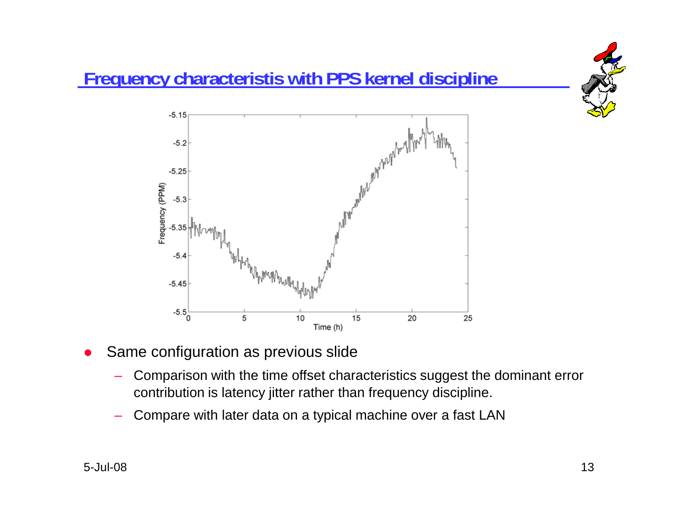

- $\bullet$  Same configuration as previous slide
	- – Comparison with the time offset characteristics suggest the dominant error contribution is latency jitter rather than frequency discipline.
	- Compare with later data on a typical machine over a fast LAN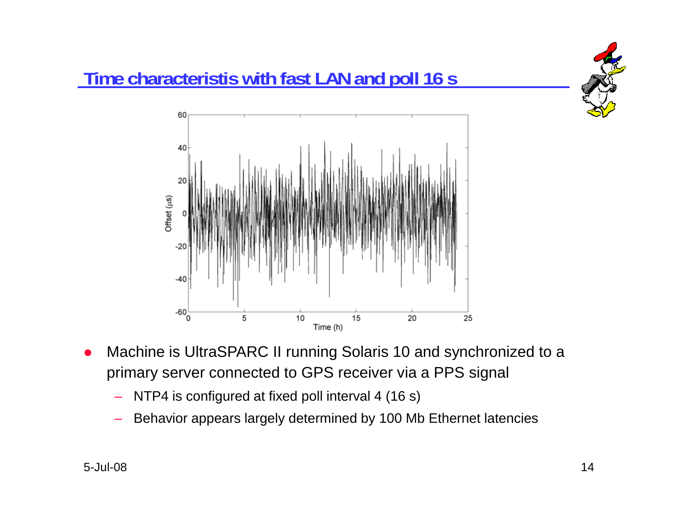



- $\bullet$  Machine is UltraSPARC II running Solaris 10 and synchronized to a primary server connected to GPS receiver via a PPS signal
	- NTP4 is configured at fixed poll interval 4 (16 s)
	- Behavior appears largely determined by 100 Mb Ethernet latencies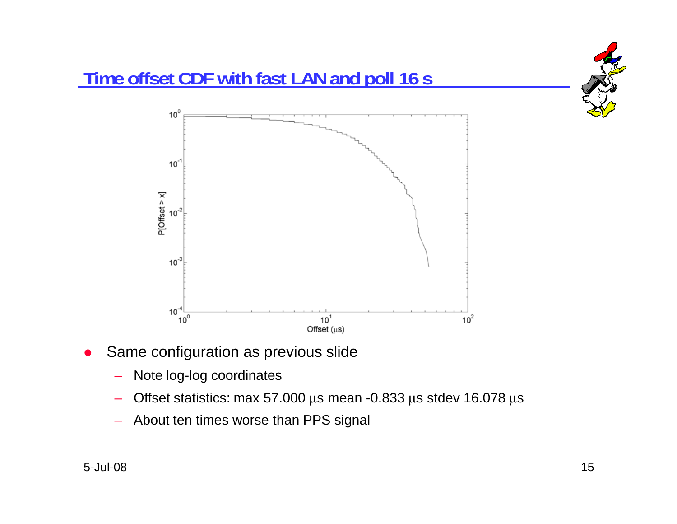

- $\bullet$  Same configuration as previous slide
	- –Note log-log coordinates
	- $-$  Offset statistics: max 57.000 μs mean -0.833 μs stdev 16.078 μs
	- About ten times worse than PPS signal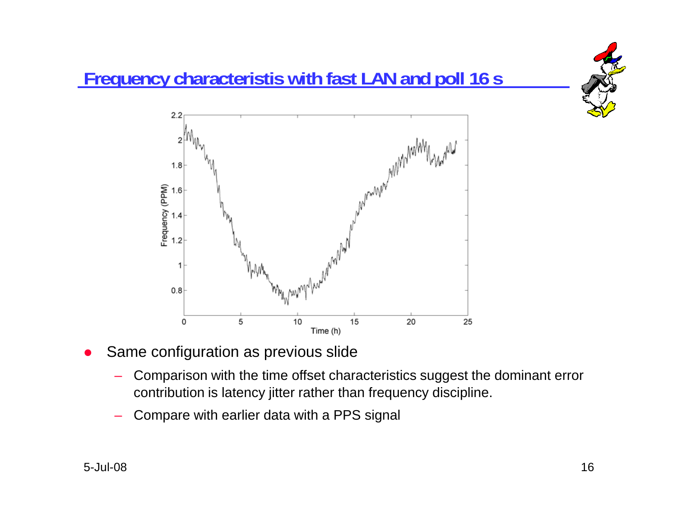



- $\bullet$  Same configuration as previous slide
	- – Comparison with the time offset characteristics suggest the dominant error contribution is latency jitter rather than frequency discipline.
	- Compare with earlier data with a PPS signal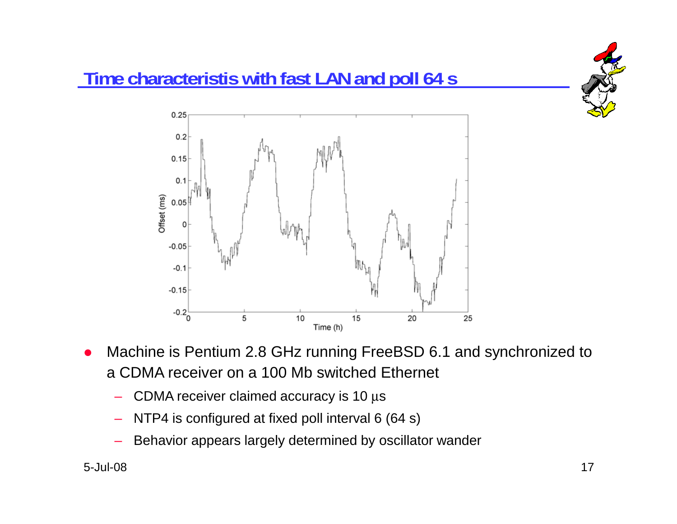

- $\bullet$  Machine is Pentium 2.8 GHz running FreeBSD 6.1 and synchronized to a CDMA receiver on a 100 Mb switched Ethernet
	- $\,$  CDMA receiver claimed accuracy is 10  $\mu{\rm s}$
	- NTP4 is configured at fixed poll interval 6 (64 s)
	- Behavior appears largely determined by oscillator wander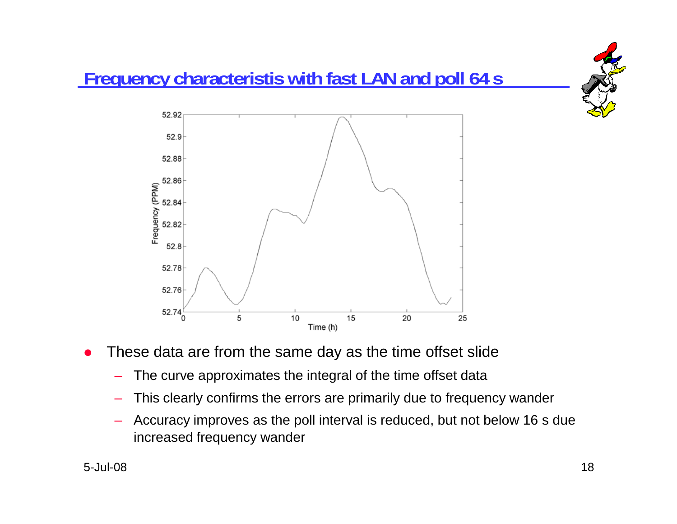

- $\bullet$  These data are from the same day as the time offset slide
	- The curve approximates the integral of the time offset data
	- This clearly confirms the errors are primarily due to frequency wander
	- Accuracy improves as the poll interval is reduced, but not below 16 s due increased frequency wander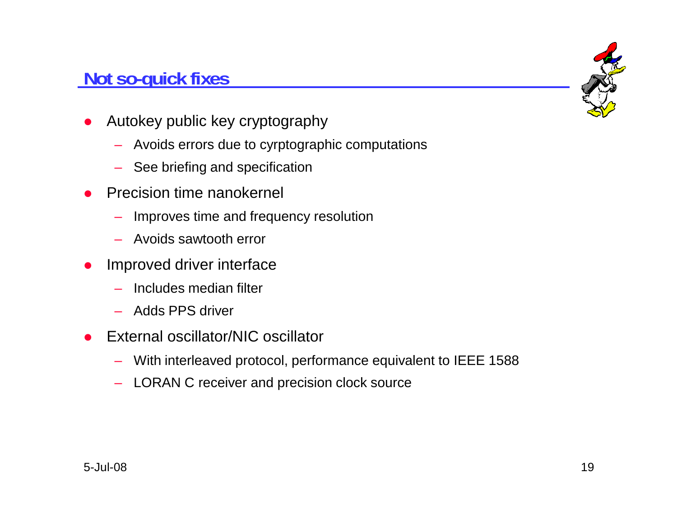#### **Not so-quick fixes**

- 
- $\bullet$  Autokey public key cryptography
	- Avoids errors due to cyrptographic computations
	- See briefing and specification
- $\bullet$  Precision time nanokernel
	- Improves time and frequency resolution
	- Avoids sawtooth error
- Improved driver interface  $\bullet$ 
	- Includes median filter
	- Adds PPS driver
- $\bullet$  External oscillator/NIC oscillator
	- With interleaved protocol, performance equivalent to IEEE 1588
	- LORAN C receiver and precision clock source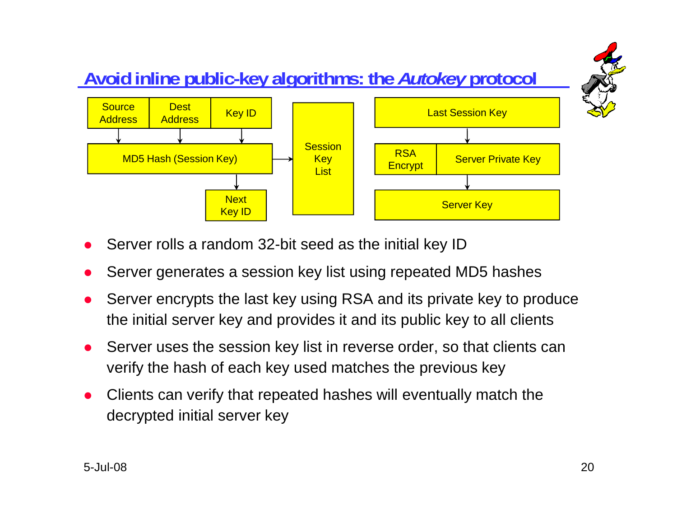

- $\bullet$ Server rolls a random 32-bit seed as the initial key ID
- $\bullet$ Server generates a session key list using repeated MD5 hashes
- $\bullet$  Server encrypts the last key using RSA and its private key to produce the initial server key and provides it and its public key to all clients
- $\bullet$  Server uses the session key list in reverse order, so that clients can verify the hash of each key used matches the previous key
- $\bullet$  Clients can verify that repeated hashes will eventually match the decrypted initial server key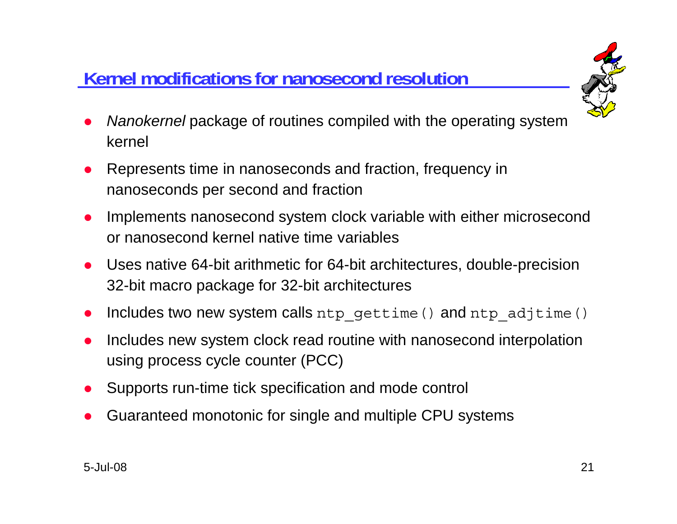# **Kernel modifications for nanosecond resolution**



- $\bullet$  *Nanokernel* package of routines compiled with the operating system kernel
- $\bullet$  Represents time in nanoseconds and fraction, frequency in nanoseconds per second and fraction
- $\bullet$  Implements nanosecond system clock variable with either microsecond or nanosecond kernel native time variables
- Uses native 64-bit arithmetic for 64-bit architectures, double-precision  $\bullet$ 32-bit macro package for 32-bit architectures
- $\bullet$ Includes two new system calls ntp\_gettime() and ntp\_adjtime()
- $\bullet$  Includes new system clock read routine with nanosecond interpolation using process cycle counter (PCC)
- $\bullet$ Supports run-time tick specification and mode control
- $\bullet$ Guaranteed monotonic for single and multiple CPU systems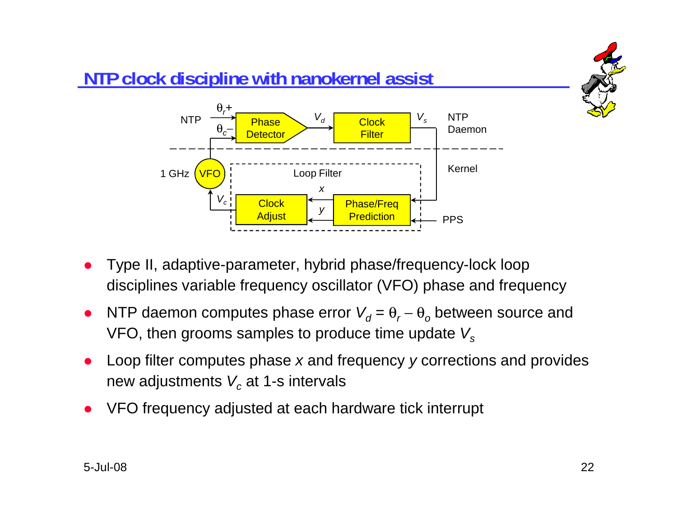

## **NTP clock discipline with nanokernel assist**



- Type II, adaptive-parameter, hybrid phase/frequency-lock loop  $\bullet$ disciplines variable frequency oscillator (VFO) phase and frequency
- $\bullet$ • NTP daemon computes phase error  $V_d = \theta_r - \theta_o$  between source and VFO, then grooms samples to produce time update *Vs*
- $\bullet$  Loop filter computes phase *x* and frequency *y* corrections and provides new adjustments  $\boldsymbol{V_c}$  at 1-s intervals
- $\bullet$ VFO frequency adjusted at each hardware tick interrupt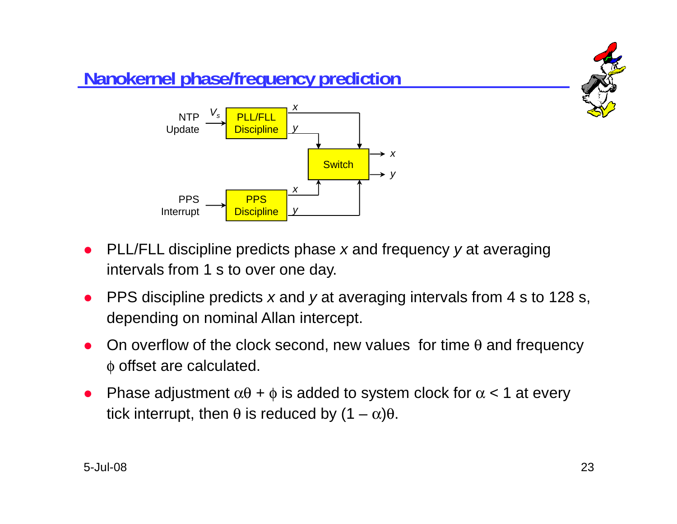

- $\bullet$  PLL/FLL discipline predicts phase *<sup>x</sup>* and frequency *y* at averaging intervals from 1 s to over one day.
- $\bullet$  PPS discipline predicts *<sup>x</sup>* and *y* at averaging intervals from 4 s to 128 s, depending on nominal Allan intercept.
- $\bullet$ On overflow of the clock second, new values for time  $\theta$  and frequency φ offset are calculated.
- $\bullet$ Phase adjustment  $\alpha\theta$  +  $\phi$  is added to system clock for  $\alpha$  < 1 at every tick interrupt, then  $\theta$  is reduced by  $(1 - \alpha)\theta$ .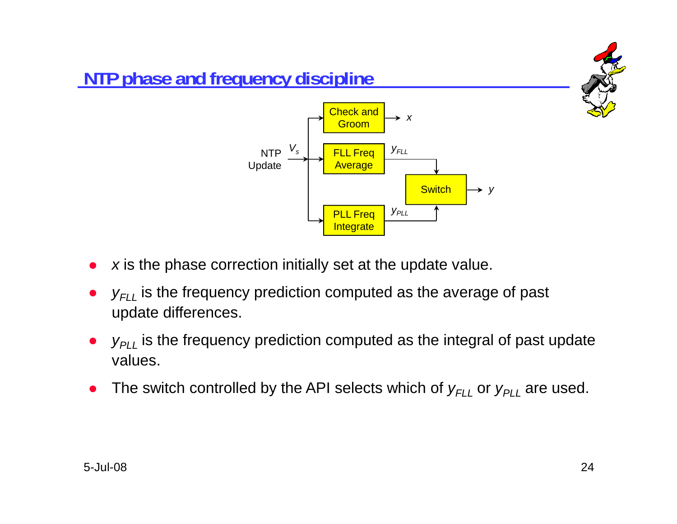

# **NTP phase and frequency discipline**



- *x* is the phase correction initially set at the update value.  $\bullet$
- $\bullet$ • *y<sub>FLL</sub>* is the frequency prediction computed as the average of past update differences.
- $\bullet$  $\bullet$   $y_{PLL}$  is the frequency prediction computed as the integral of past update values.
- $\bullet$ • The switch controlled by the API selects which of  $y_{FLL}$  or  $y_{PLL}$  are used.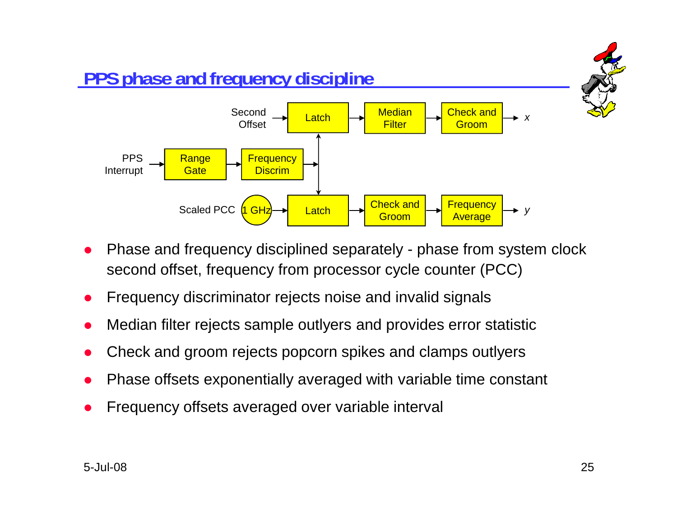

- $\bullet$  Phase and frequency disciplined separately - phase from system clock second offset, frequency from processor cycle counter (PCC)
- $\bullet$ Frequency discriminator rejects noise and invalid signals
- $\bullet$ Median filter rejects sample outlyers and provides error statistic
- $\bullet$ Check and groom rejects popcorn spikes and clamps outlyers
- $\bullet$ Phase offsets exponentially averaged with variable time constant
- $\bullet$ Frequency offsets averaged over variable interval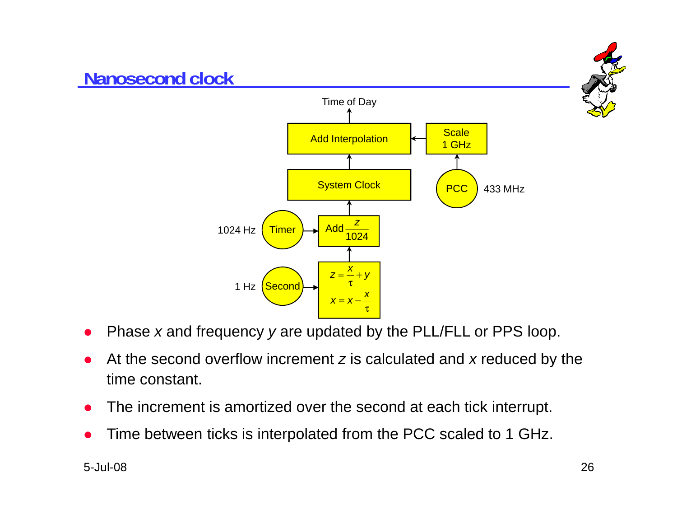

- $\bullet$ Phase *<sup>x</sup>* and frequency *y* are updated by the PLL/FLL or PPS loop.
- $\bullet$  At the second overflow increment *<sup>z</sup>* is calculated and *<sup>x</sup>* reduced by the time constant.
- $\bullet$ The increment is amortized over the second at each tick interrupt.
- $\bullet$ Time between ticks is interpolated from the PCC scaled to 1 GHz.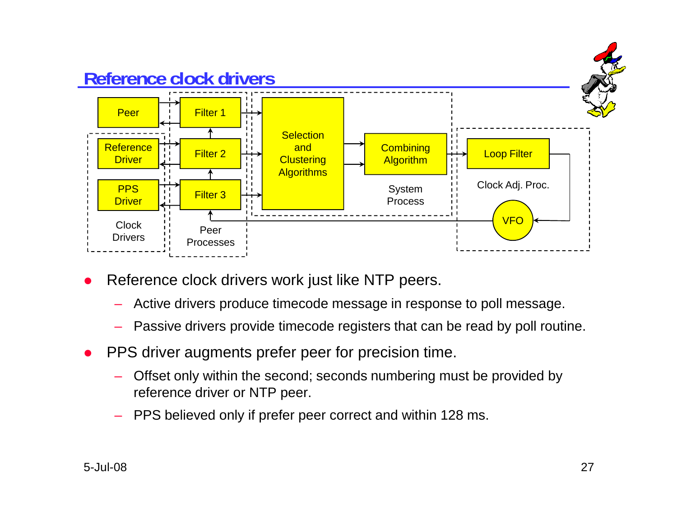

- $\bullet$  Reference clock drivers work just like NTP peers.
	- Active drivers produce timecode message in response to poll message.
	- Passive drivers provide timecode registers that can be read by poll routine.
- $\bullet$  PPS driver augments prefer peer for precision time.
	- Offset only within the second; seconds numbering must be provided by reference driver or NTP peer.
	- PPS believed only if prefer peer correct and within 128 ms.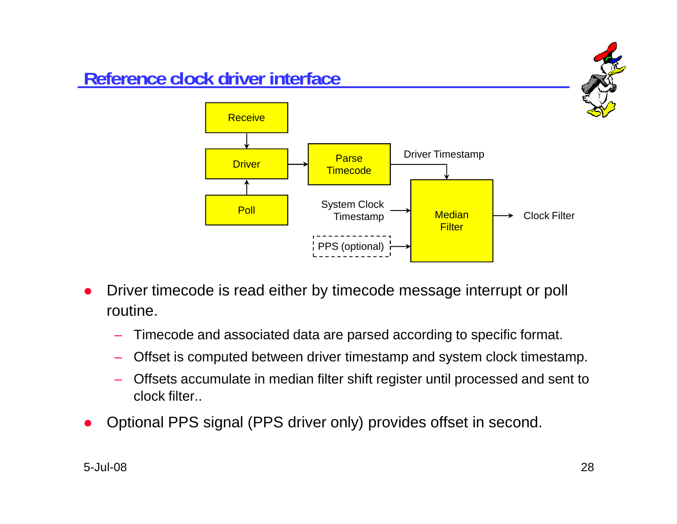

- $\bullet$  Driver timecode is read either by timecode message interrupt or poll routine.
	- Timecode and associated data are parsed according to specific format.
	- Offset is computed between driver timestamp and system clock timestamp.
	- Offsets accumulate in median filter shift register until processed and sent to clock filter..
- $\bullet$ Optional PPS signal (PPS driver only) provides offset in second.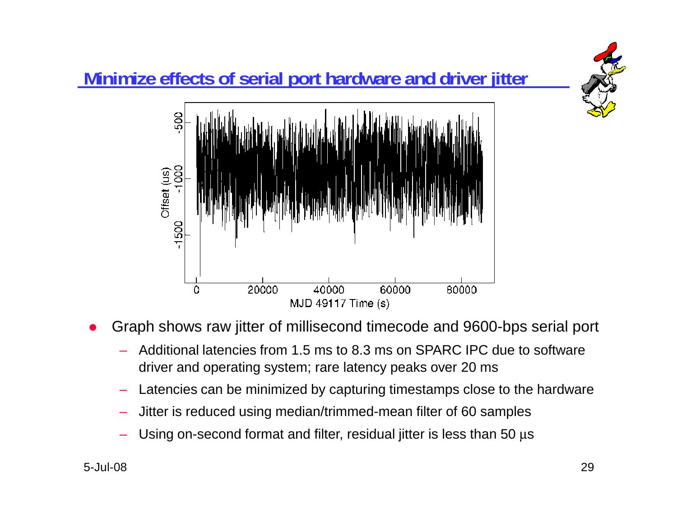

- $\bullet$  Graph shows raw jitter of millisecond timecode and 9600-bps serial port
	- Additional latencies from 1.5 ms to 8.3 ms on SPARC IPC due to software driver and operating system; rare latency peaks over 20 ms
	- –Latencies can be minimized by capturing timestamps close to the hardware
	- Jitter is reduced using median/trimmed-mean filter of 60 samples
	- $-$  Using on-second format and filter, residual jitter is less than 50  $\mu$ s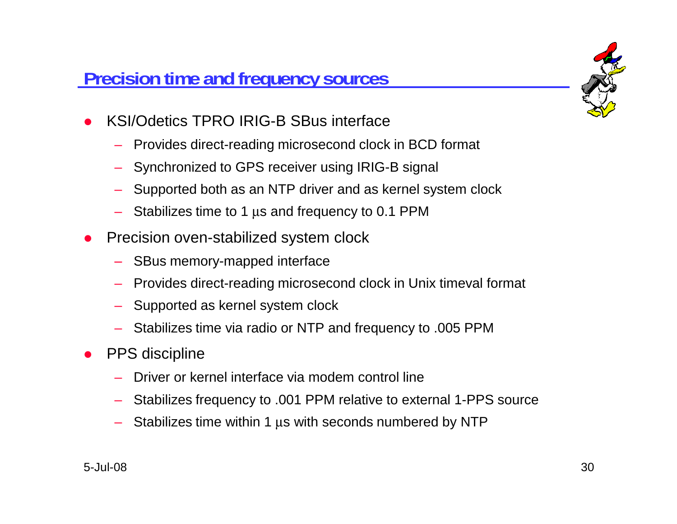### **Precision time and frequency sources**



- $\bullet$  KSI/Odetics TPRO IRIG-B SBus interface
	- Provides direct-reading microsecond clock in BCD format
	- Synchronized to GPS receiver using IRIG-B signal
	- Supported both as an NTP driver and as kernel system clock
	- $-$  Stabilizes time to 1  $\mu$ s and frequency to 0.1 PPM
- $\bullet$  Precision oven-stabilized system clock
	- SBus memory-mapped interface
	- Provides direct-reading microsecond clock in Unix timeval format
	- Supported as kernel system clock
	- Stabilizes time via radio or NTP and frequency to .005 PPM
- $\bullet$  PPS discipline
	- Driver or kernel interface via modem control line
	- Stabilizes frequency to .001 PPM relative to external 1-PPS source
	- $-$  Stabilizes time within 1  $\mu$ s with seconds numbered by NTP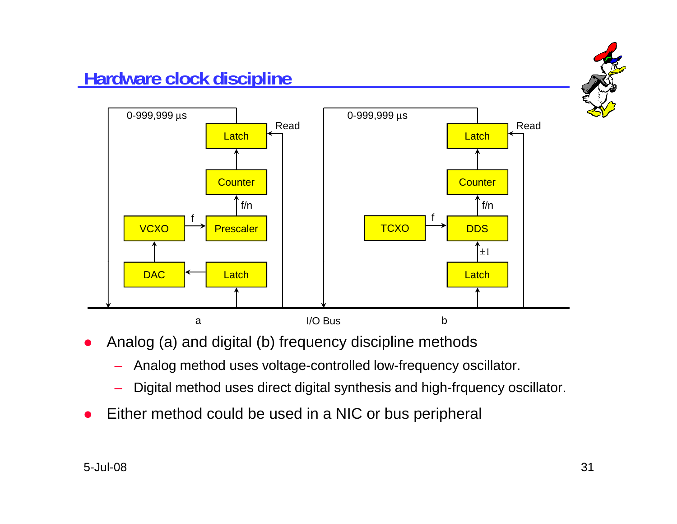

- $\bullet$  Analog (a) and digital (b) frequency discipline methods
	- Analog method uses voltage-controlled low-frequency oscillator.
	- Digital method uses direct digital synthesis and high-frquency oscillator.
- $\bullet$ Either method could be used in a NIC or bus peripheral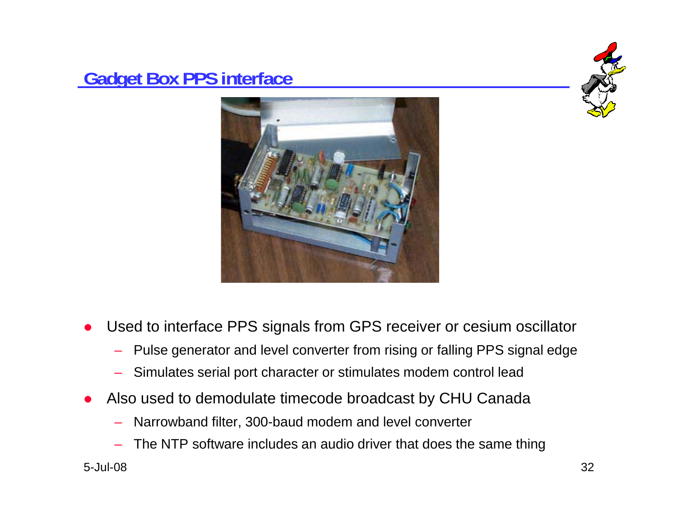## **Gadget Box PPS interface**





- $\bullet$  Used to interface PPS signals from GPS receiver or cesium oscillator
	- Pulse generator and level converter from rising or falling PPS signal edge
	- Simulates serial port character or stimulates modem control lead
- $\bullet$  Also used to demodulate timecode broadcast by CHU Canada
	- Narrowband filter, 300-baud modem and level converter
	- The NTP software includes an audio driver that does the same thing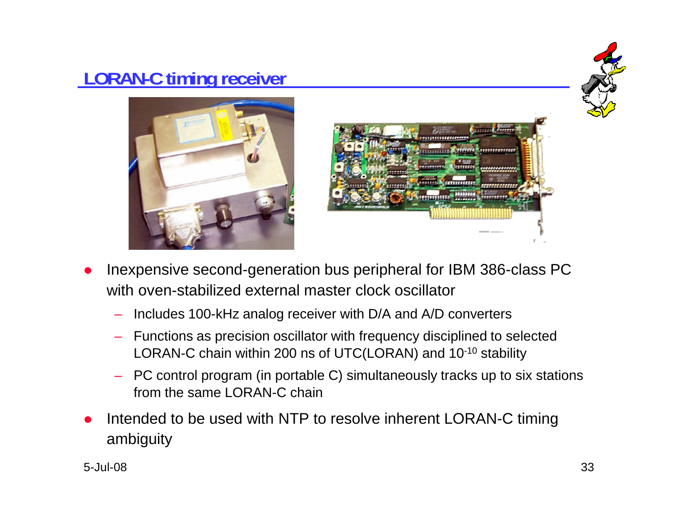## **LORAN-C timing receiver**







- Inexpensive second-generation bus peripheral for IBM 386-class PC  $\bullet$ with oven-stabilized external master clock oscillator
	- Includes 100-kHz analog receiver with D/A and A/D converters
	- Functions as precision oscillator with frequency disciplined to selected LORAN-C chain within 200 ns of UTC(LORAN) and 10-10 stability
	- – PC control program (in portable C) simultaneously tracks up to six stations from the same LORAN-C chain
- $\bullet$  Intended to be used with NTP to resolve inherent LORAN-C timing ambiguity